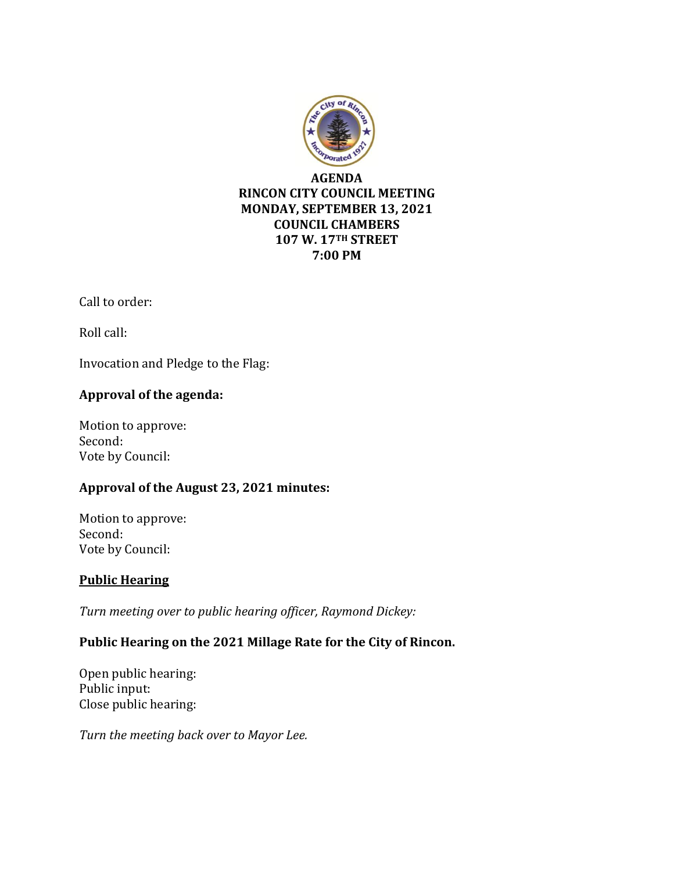

Call to order:

Roll call:

Invocation and Pledge to the Flag:

#### **Approval of the agenda:**

Motion to approve: Second: Vote by Council:

### **Approval of the August 23, 2021 minutes:**

Motion to approve: Second: Vote by Council:

### **Public Hearing**

*Turn meeting over to public hearing officer, Raymond Dickey:*

### **Public Hearing on the 2021 Millage Rate for the City of Rincon.**

Open public hearing: Public input: Close public hearing:

*Turn the meeting back over to Mayor Lee.*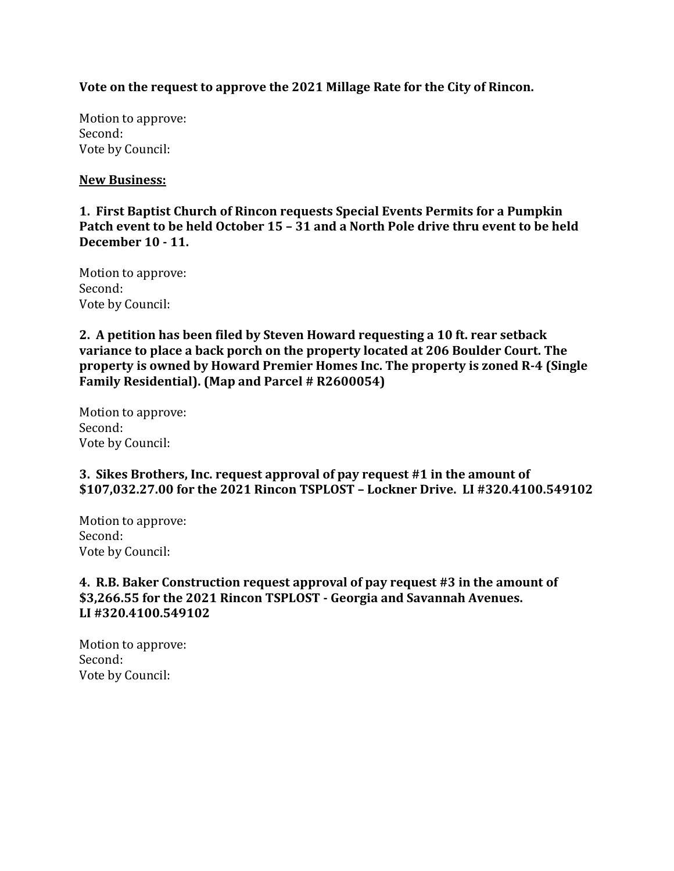**Vote on the request to approve the 2021 Millage Rate for the City of Rincon.**

Motion to approve: Second: Vote by Council:

### **New Business:**

**1. First Baptist Church of Rincon requests Special Events Permits for a Pumpkin Patch event to be held October 15 – 31 and a North Pole drive thru event to be held December 10 - 11.**

Motion to approve: Second: Vote by Council:

**2. A petition has been filed by Steven Howard requesting a 10 ft. rear setback variance to place a back porch on the property located at 206 Boulder Court. The property is owned by Howard Premier Homes Inc. The property is zoned R-4 (Single Family Residential). (Map and Parcel # R2600054)**

Motion to approve: Second: Vote by Council:

**3. Sikes Brothers, Inc. request approval of pay request #1 in the amount of \$107,032.27.00 for the 2021 Rincon TSPLOST – Lockner Drive. LI #320.4100.549102** 

Motion to approve: Second: Vote by Council:

**4. R.B. Baker Construction request approval of pay request #3 in the amount of \$3,266.55 for the 2021 Rincon TSPLOST - Georgia and Savannah Avenues. LI #320.4100.549102** 

Motion to approve: Second: Vote by Council: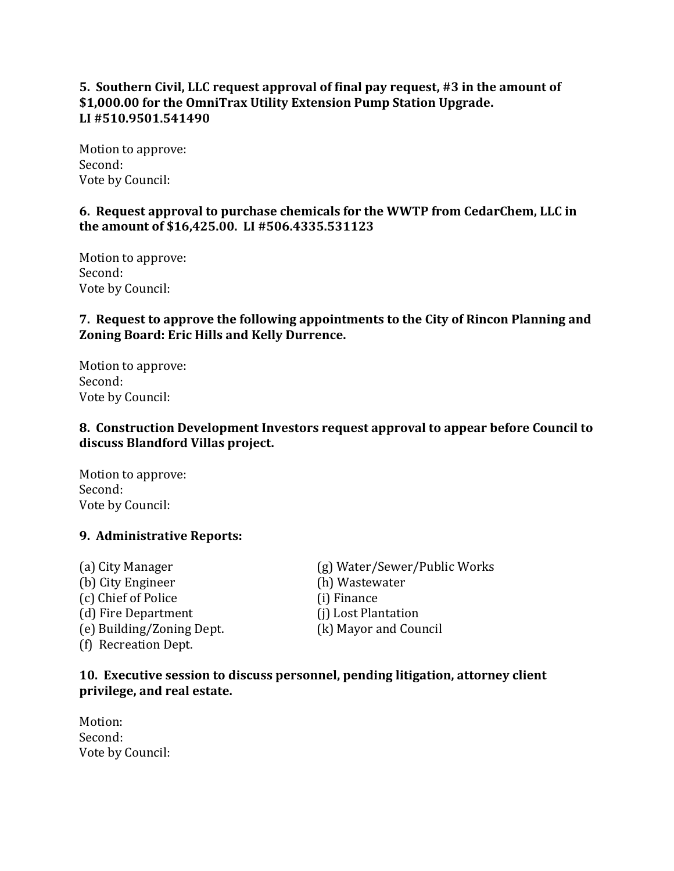# **5. Southern Civil, LLC request approval of final pay request, #3 in the amount of \$1,000.00 for the OmniTrax Utility Extension Pump Station Upgrade. LI #510.9501.541490**

Motion to approve: Second: Vote by Council:

## **6. Request approval to purchase chemicals for the WWTP from CedarChem, LLC in the amount of \$16,425.00. LI #506.4335.531123**

Motion to approve: Second: Vote by Council:

### **7. Request to approve the following appointments to the City of Rincon Planning and Zoning Board: Eric Hills and Kelly Durrence.**

Motion to approve: Second: Vote by Council:

# **8. Construction Development Investors request approval to appear before Council to discuss Blandford Villas project.**

Motion to approve: Second: Vote by Council:

### **9. Administrative Reports:**

(b) City Engineer (h) Wastewater (c) Chief of Police (i) Finance (d) Fire Department (j) Lost Plantation (e) Building/Zoning Dept. (k) Mayor and Council (f) Recreation Dept.

(a) City Manager (g) Water/Sewer/Public Works

#### **10. Executive session to discuss personnel, pending litigation, attorney client privilege, and real estate.**

| Motion:          |
|------------------|
| Second:          |
| Vote by Council: |